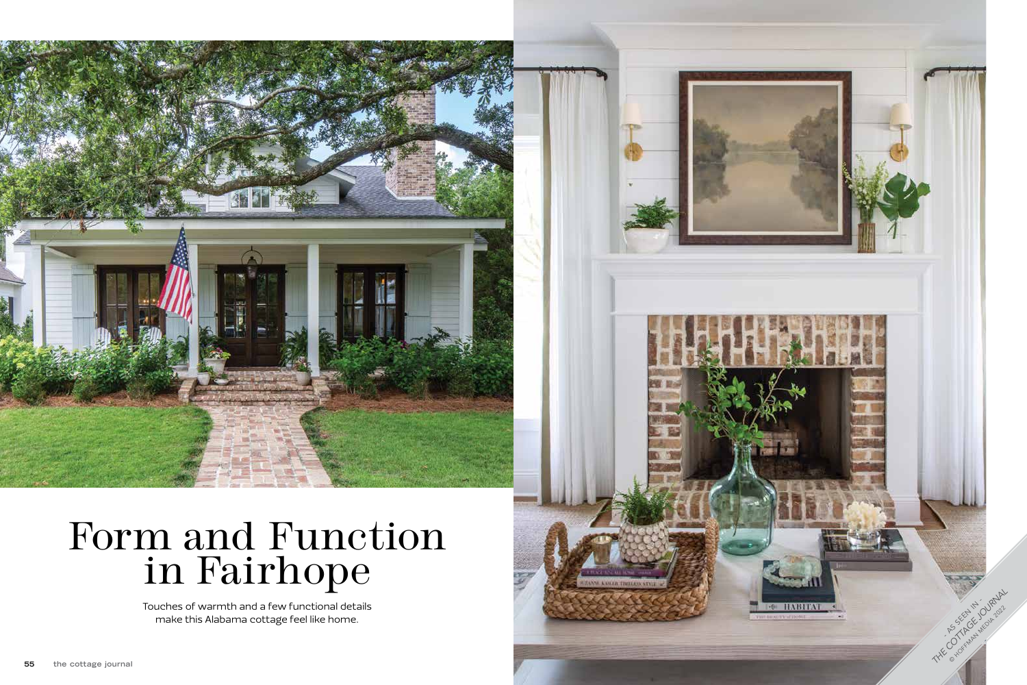## Form and Function in Fairhope



Touches of warmth and a few functional details make this Alabama cottage feel like home.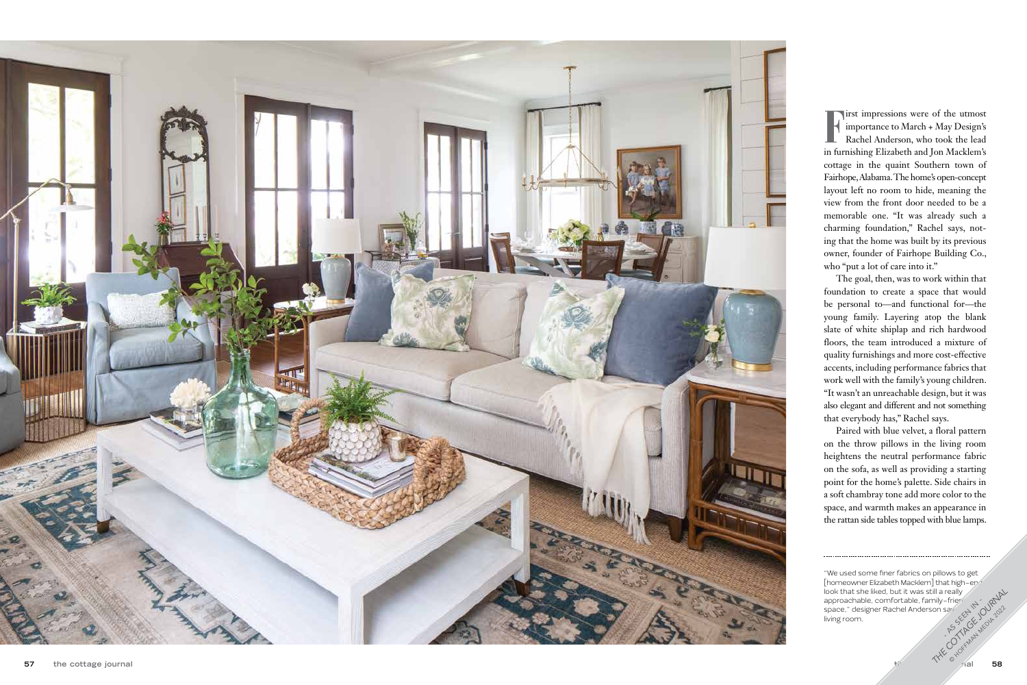

irst impressions were of the utmost importance to March + May Design's Rachel Anderson, who took the lead in furnishing Elizabeth and Jon Macklem's cottage in the quaint Southern town of Fairhope, Alabama. The home's open-concept layout left no room to hide, meaning the view from the front door needed to be a memorable one. "It was already such a charming foundation," Rachel says, not ing that the home was built by its previous owner, founder of Fairhope Building Co., who "put a lot of care into it."

The goal, then, was to work within that foundation to create a space that would be personal to—and functional for—the young family. Layering atop the blank slate of white shiplap and rich hardwood floors, the team introduced a mixture of quality furnishings and more cost-effective accents, including performance fabrics that work well with the family's young children. "It wasn't an unreachable design, but it was also elegant and different and not something that everybody has," Rachel says.

Paired with blue velvet, a floral pattern on the throw pillows in the living room heightens the neutral performance fabric on the sofa, as well as providing a starting point for the home's palette. Side chairs in a soft chambray tone add more color to the space, and warmth makes an appearance in the rattan side tables topped with blue lamps.

<sup>&</sup>quot;We used some finer fabrics on pillows to get [homeowner Elizabeth Macklem] that high-end look that she liked, but it was still a really approachable, comfortable, family-frier space," designer Rachel Anderson say living room. THE GRAPHIT CE TO URNAL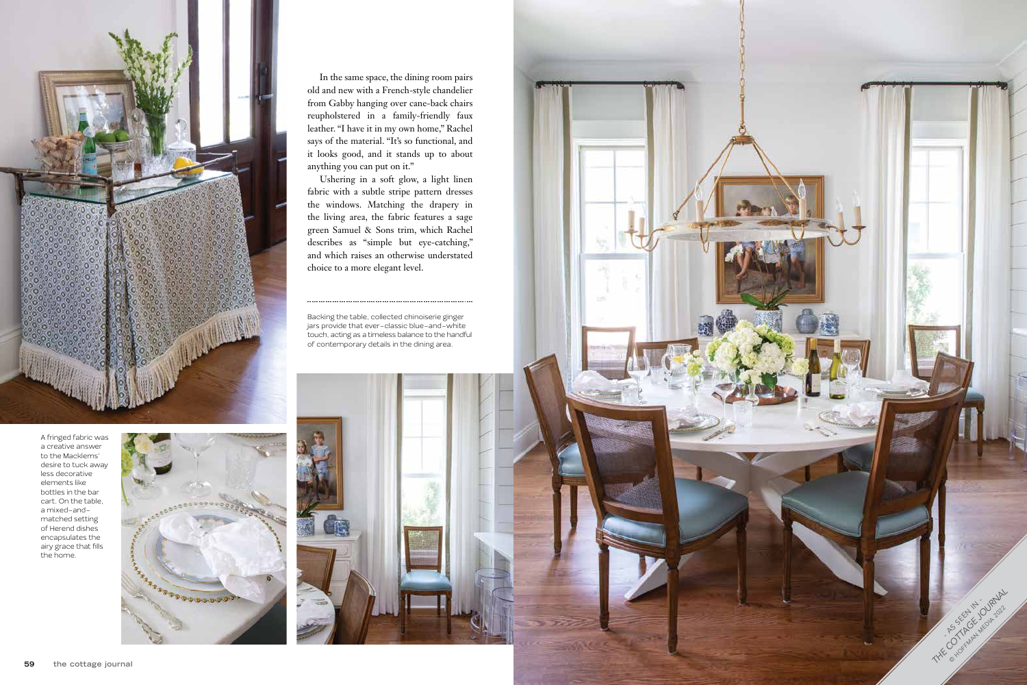

In the same space, the dining room pairs old and new with a French-style chandelier from Gabby hanging over cane-back chairs reupholstered in a family-friendly faux leather. "I have it in my own home," Rachel says of the material. "It's so functional, and it looks good, and it stands up to about anything you can put on it."

Ushering in a soft glow, a light linen fabric with a subtle stripe pattern dresses the windows. Matching the drapery in the living area, the fabric features a sage green Samuel & Sons trim, which Rachel describes as "simple but eye-catching," and which raises an otherwise understated choice to a more elegant level.



Backing the table, collected chinoiserie ginger jars provide that ever-classic blue-and-white touch, acting as a timeless balance to the handful of contemporary details in the dining area.

A fringed fabric was a creative answer to the Macklems' desire to tuck away less decorative elements like bottles in the bar cart. On the table, a mixed-andmatched setting of Herend dishes encapsulates the airy grace that fills the home.

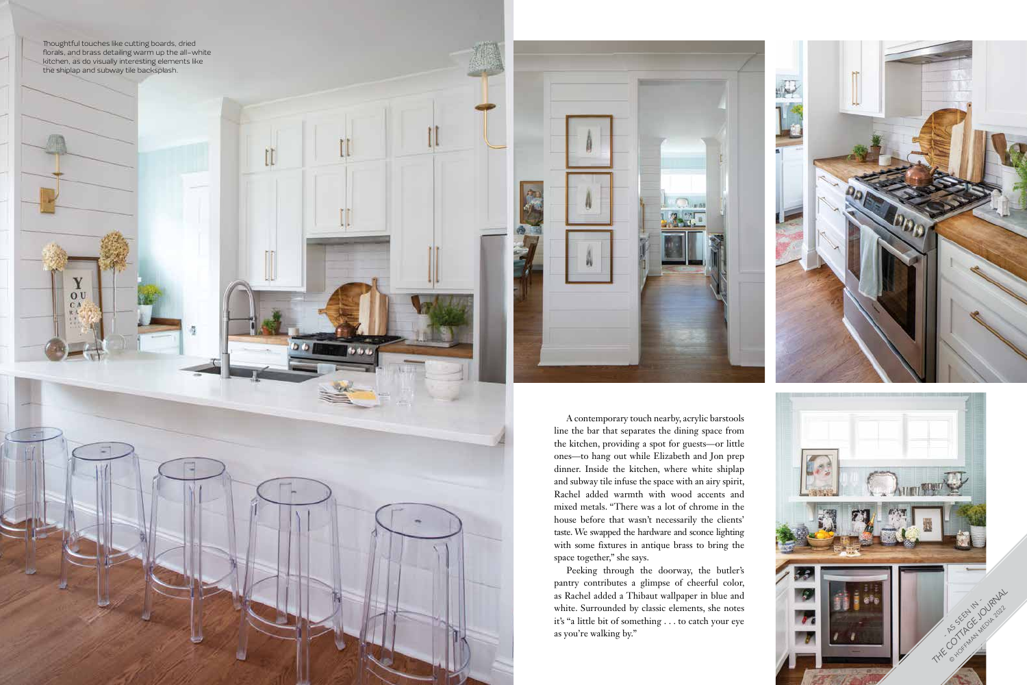A contemporary touch nearby, acrylic barstools line the bar that separates the dining space from the kitchen, providing a spot for guests—or little ones—to hang out while Elizabeth and Jon prep dinner. Inside the kitchen, where white shiplap and subway tile infuse the space with an airy spirit, Rachel added warmth with wood accents and mixed metals. "There was a lot of chrome in the house before that wasn't necessarily the clients' taste. We swapped the hardware and sconce lighting with some fixtures in antique brass to bring the space together," she says.



Peeking through the doorway, the butler's pantry contributes a glimpse of cheerful color, as Rachel added a Thibaut wallpaper in blue and white. Surrounded by classic elements, she notes it's "a little bit of something . . . to catch your eye as you're walking by."



Des.

**De** 

西方

Thoughtful touches like cutting boards, dried florals, and brass detailing warm up the all-white kitchen, as do visually interesting elements like the shiplap and subway tile backsplash.

> $\chi_{\rm o}$ CA

de da a